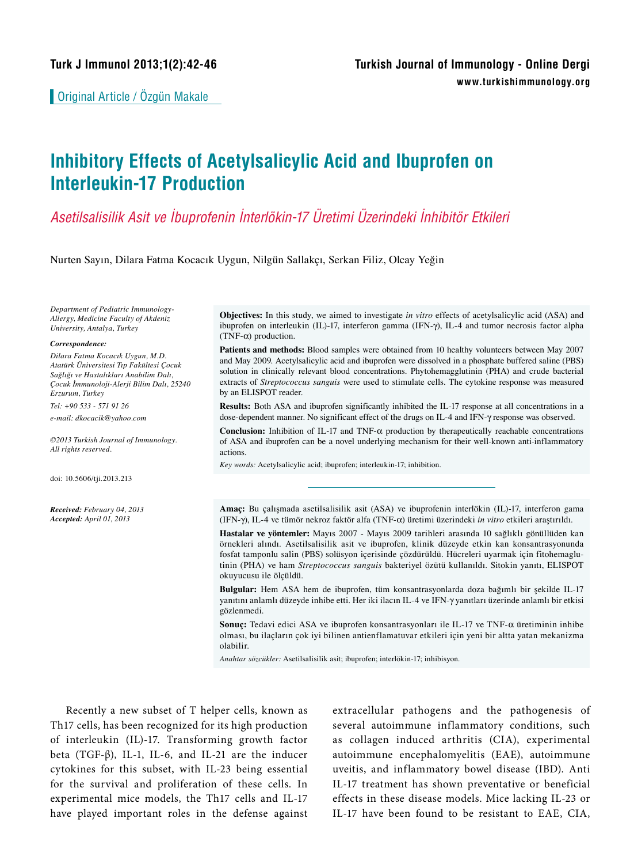Original Article / Özgün Makale

# **Inhibitory Effects of Acetylsalicylic Acid and Ibuprofen on Interleukin-17 Production**

# *Asetilsalisilik Asit ve İbuprofenin İnterlökin-17 Üretimi Üzerindeki İnhibitör Etkileri*

Nurten Sayın, Dilara Fatma Kocacık Uygun, Nilgün Sallakçı, Serkan Filiz, Olcay Yeğin

*Department of Pediatric Immunology-Allergy, Medicine Faculty of Akdeniz University, Antalya, Turkey*

#### *Correspondence:*

*Dilara Fatma Kocacık Uygun, M.D. Atatürk Üniversitesi Tıp Fakültesi Çocuk Sağlığı ve Hastalıkları Anabilim Dalı, Çocuk İmmunoloji-Alerji Bilim Dalı, 25240 Erzurum, Turkey*

*Tel: +90 533 - 571 91 26*

*e-mail: dkocacik@yahoo.com*

*©2013 Turkish Journal of Immunology. All rights reserved.*

doi: 10.5606/tji.2013.213

*Received: February 04, 2013 Accepted: April 01, 2013*

**Objectives:** In this study, we aimed to investigate *in vitro* effects of acetylsalicylic acid (ASA) and ibuprofen on interleukin (IL)-17, interferon gamma (IFN-g), IL-4 and tumor necrosis factor alpha  $(TNF-\alpha)$  production.

**Patients and methods:** Blood samples were obtained from 10 healthy volunteers between May 2007 and May 2009. Acetylsalicylic acid and ibuprofen were dissolved in a phosphate buffered saline (PBS) solution in clinically relevant blood concentrations. Phytohemagglutinin (PHA) and crude bacterial extracts of *Streptococcus sanguis* were used to stimulate cells. The cytokine response was measured by an ELISPOT reader.

**Results:** Both ASA and ibuprofen significantly inhibited the IL-17 response at all concentrations in a dose-dependent manner. No significant effect of the drugs on IL-4 and IFN- $\gamma$  response was observed.

**Conclusion:** Inhibition of IL-17 and TNF- $\alpha$  production by therapeutically reachable concentrations of ASA and ibuprofen can be a novel underlying mechanism for their well-known anti-inflammatory actions.

*Key words:* Acetylsalicylic acid; ibuprofen; interleukin-17; inhibition.

**Amaç:** Bu çalışmada asetilsalisilik asit (ASA) ve ibuprofenin interlökin (IL)-17, interferon gama (IFN-g), IL-4 ve tümör nekroz faktör alfa (TNF-a) üretimi üzerindeki *in vitro* etkileri araştırıldı.

**Hastalar ve yöntemler:** Mayıs 2007 - Mayıs 2009 tarihleri arasında 10 sağlıklı gönüllüden kan örnekleri alındı. Asetilsalisilik asit ve ibuprofen, klinik düzeyde etkin kan konsantrasyonunda fosfat tamponlu salin (PBS) solüsyon içerisinde çözdürüldü. Hücreleri uyarmak için fitohemaglutinin (PHA) ve ham *Streptococcus sanguis* bakteriyel özütü kullanıldı. Sitokin yanıtı, ELISPOT okuyucusu ile ölçüldü.

**Bulgular:** Hem ASA hem de ibuprofen, tüm konsantrasyonlarda doza bağımlı bir şekilde IL-17 yanıtını anlamlı düzeyde inhibe etti. Her iki ilacın IL-4 ve IFN-g yanıtları üzerinde anlamlı bir etkisi gözlenmedi.

**Sonuç:** Tedavi edici ASA ve ibuprofen konsantrasyonları ile IL-17 ve TNF-a üretiminin inhibe olması, bu ilaçların çok iyi bilinen antienflamatuvar etkileri için yeni bir altta yatan mekanizma olabilir.

*Anahtar sözcükler:* Asetilsalisilik asit; ibuprofen; interlökin-17; inhibisyon.

Recently a new subset of T helper cells, known as Th17 cells, has been recognized for its high production of interleukin (IL)-17. Transforming growth factor beta (TGF-β), IL-1, IL-6, and IL-21 are the inducer cytokines for this subset, with IL-23 being essential for the survival and proliferation of these cells. In experimental mice models, the Th17 cells and IL-17 have played important roles in the defense against extracellular pathogens and the pathogenesis of several autoimmune inflammatory conditions, such as collagen induced arthritis (CIA), experimental autoimmune encephalomyelitis (EAE), autoimmune uveitis, and inflammatory bowel disease (IBD). Anti IL-17 treatment has shown preventative or beneficial effects in these disease models. Mice lacking IL-23 or IL-17 have been found to be resistant to EAE, CIA,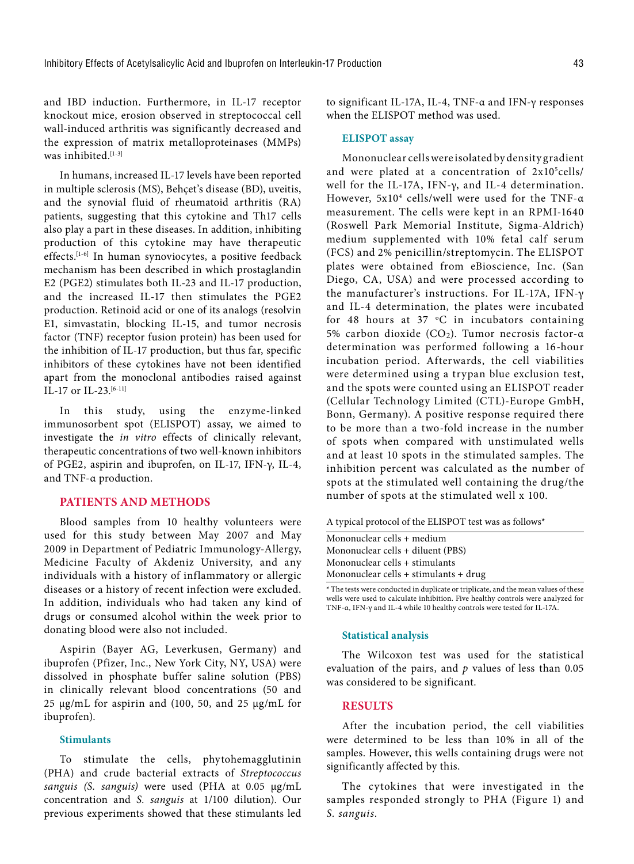and IBD induction. Furthermore, in IL-17 receptor knockout mice, erosion observed in streptococcal cell wall-induced arthritis was significantly decreased and the expression of matrix metalloproteinases (MMPs) was inhibited.<sup>[1-3]</sup>

In humans, increased IL-17 levels have been reported in multiple sclerosis (MS), Behçet's disease (BD), uveitis, and the synovial fluid of rheumatoid arthritis (RA) patients, suggesting that this cytokine and Th17 cells also play a part in these diseases. In addition, inhibiting production of this cytokine may have therapeutic effects.[1-6] In human synoviocytes, a positive feedback mechanism has been described in which prostaglandin E2 (PGE2) stimulates both IL-23 and IL-17 production, and the increased IL-17 then stimulates the PGE2 production. Retinoid acid or one of its analogs (resolvin E1, simvastatin, blocking IL-15, and tumor necrosis factor (TNF) receptor fusion protein) has been used for the inhibition of IL-17 production, but thus far, specific inhibitors of these cytokines have not been identified apart from the monoclonal antibodies raised against IL-17 or IL-23.<sup>[6-11]</sup>

In this study, using the enzyme-linked immunosorbent spot (ELISPOT) assay, we aimed to investigate the *in vitro* effects of clinically relevant, therapeutic concentrations of two well-known inhibitors of PGE2, aspirin and ibuprofen, on IL-17, IFN-γ, IL-4, and TNF-α production.

# **PATIENTS AND METHODS**

Blood samples from 10 healthy volunteers were used for this study between May 2007 and May 2009 in Department of Pediatric Immunology-Allergy, Medicine Faculty of Akdeniz University, and any individuals with a history of inflammatory or allergic diseases or a history of recent infection were excluded. In addition, individuals who had taken any kind of drugs or consumed alcohol within the week prior to donating blood were also not included.

Aspirin (Bayer AG, Leverkusen, Germany) and ibuprofen (Pfizer, Inc., New York City, NY, USA) were dissolved in phosphate buffer saline solution (PBS) in clinically relevant blood concentrations (50 and 25 μg/mL for aspirin and (100, 50, and 25 μg/mL for ibuprofen).

## **Stimulants**

To stimulate the cells, phytohemagglutinin (PHA) and crude bacterial extracts of *Streptococcus sanguis (S. sanguis)* were used (PHA at 0.05 μg/mL concentration and *S. sanguis* at 1/100 dilution). Our previous experiments showed that these stimulants led to significant IL-17A, IL-4, TNF-α and IFN-γ responses when the ELISPOT method was used.

#### **ELISPOT assay**

Mononuclear cells were isolated by density gradient and were plated at a concentration of 2x10<sup>5</sup>cells/ well for the IL-17A, IFN-γ, and IL-4 determination. However, 5x104 cells/well were used for the TNF-α measurement. The cells were kept in an RPMI-1640 (Roswell Park Memorial Institute, Sigma-Aldrich) medium supplemented with 10% fetal calf serum (FCS) and 2% penicillin/streptomycin. The ELISPOT plates were obtained from eBioscience, Inc. (San Diego, CA, USA) and were processed according to the manufacturer's instructions. For IL-17A, IFN-γ and IL-4 determination, the plates were incubated for 48 hours at  $37 \degree C$  in incubators containing 5% carbon dioxide (CO2). Tumor necrosis factor-α determination was performed following a 16-hour incubation period. Afterwards, the cell viabilities were determined using a trypan blue exclusion test, and the spots were counted using an ELISPOT reader (Cellular Technology Limited (CTL)-Europe GmbH, Bonn, Germany). A positive response required there to be more than a two-fold increase in the number of spots when compared with unstimulated wells and at least 10 spots in the stimulated samples. The inhibition percent was calculated as the number of spots at the stimulated well containing the drug/the number of spots at the stimulated well x 100.

| A typical protocol of the ELISPOT test was as follows* |  |  |
|--------------------------------------------------------|--|--|
|--------------------------------------------------------|--|--|

| Mononuclear cells + medium            |
|---------------------------------------|
| Mononuclear cells + diluent (PBS)     |
| Mononuclear cells + stimulants        |
| Mononuclear cells + stimulants + drug |

**<sup>\*</sup>** The tests were conducted in duplicate or triplicate, and the mean values of these wells were used to calculate inhibition. Five healthy controls were analyzed for TNF-α, IFN-γ and IL-4 while 10 healthy controls were tested for IL-17A.

### **Statistical analysis**

The Wilcoxon test was used for the statistical evaluation of the pairs, and *p* values of less than 0.05 was considered to be significant.

# **RESULTS**

After the incubation period, the cell viabilities were determined to be less than 10% in all of the samples. However, this wells containing drugs were not significantly affected by this.

The cytokines that were investigated in the samples responded strongly to PHA (Figure 1) and *S. sanguis*.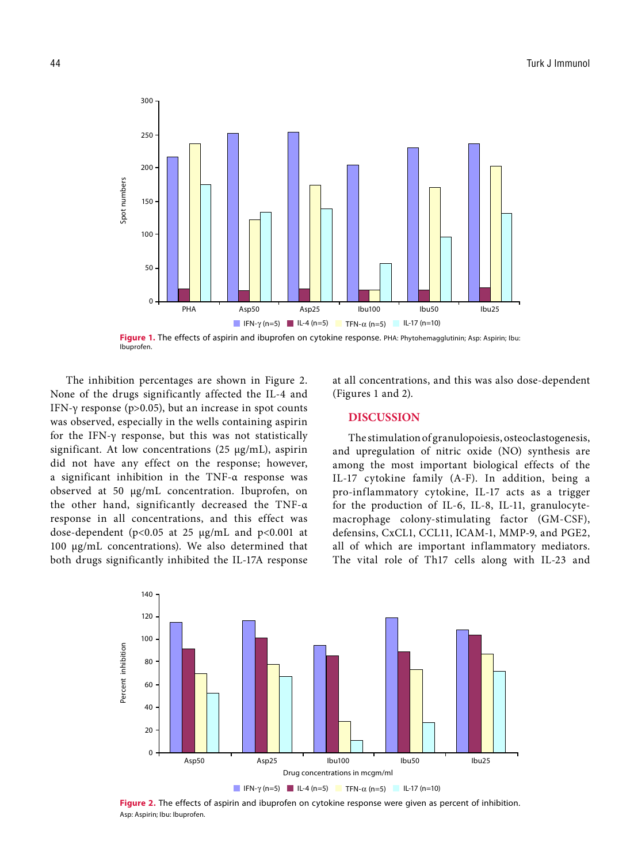

Figure 1. The effects of aspirin and ibuprofen on cytokine response. PHA: Phytohemagglutinin; Asp: Aspirin; Ibu: Ibuprofen.

The inhibition percentages are shown in Figure 2. None of the drugs significantly affected the IL-4 and IFN-γ response ( $p > 0.05$ ), but an increase in spot counts was observed, especially in the wells containing aspirin for the IFN-γ response, but this was not statistically significant. At low concentrations (25 μg/mL), aspirin did not have any effect on the response; however, a significant inhibition in the TNF-α response was observed at 50 μg/mL concentration. Ibuprofen, on the other hand, significantly decreased the TNF-α response in all concentrations, and this effect was dose-dependent (p<0.05 at 25 μg/mL and p<0.001 at 100 μg/mL concentrations). We also determined that both drugs significantly inhibited the IL-17A response at all concentrations, and this was also dose-dependent (Figures 1 and 2).

# **DISCUSSION**

The stimulation of granulopoiesis, osteoclastogenesis, and upregulation of nitric oxide (NO) synthesis are among the most important biological effects of the IL-17 cytokine family (A-F). In addition, being a pro-inflammatory cytokine, IL-17 acts as a trigger for the production of IL-6, IL-8, IL-11, granulocytemacrophage colony-stimulating factor (GM-CSF), defensins, CxCL1, CCL11, ICAM-1, MMP-9, and PGE2, all of which are important inflammatory mediators. The vital role of Th17 cells along with IL-23 and



**Figure 2.** The effects of aspirin and ibuprofen on cytokine response were given as percent of inhibition.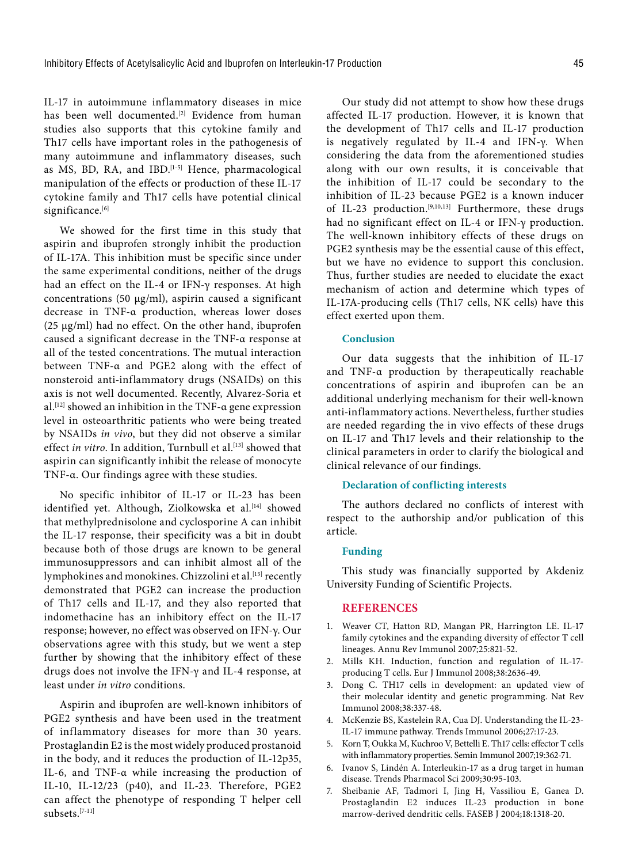IL-17 in autoimmune inflammatory diseases in mice has been well documented.<sup>[2]</sup> Evidence from human studies also supports that this cytokine family and Th17 cells have important roles in the pathogenesis of many autoimmune and inflammatory diseases, such as MS, BD, RA, and IBD.<sup>[1-5]</sup> Hence, pharmacological manipulation of the effects or production of these IL-17 cytokine family and Th17 cells have potential clinical significance.[6]

We showed for the first time in this study that aspirin and ibuprofen strongly inhibit the production of IL-17A. This inhibition must be specific since under the same experimental conditions, neither of the drugs had an effect on the IL-4 or IFN-γ responses. At high concentrations (50 μg/ml), aspirin caused a significant decrease in TNF-α production, whereas lower doses (25 μg/ml) had no effect. On the other hand, ibuprofen caused a significant decrease in the TNF-α response at all of the tested concentrations. The mutual interaction between TNF-α and PGE2 along with the effect of nonsteroid anti-inflammatory drugs (NSAIDs) on this axis is not well documented. Recently, Alvarez-Soria et al.[12] showed an inhibition in the TNF-α gene expression level in osteoarthritic patients who were being treated by NSAIDs *in vivo*, but they did not observe a similar effect *in vitro*. In addition, Turnbull et al.<sup>[13]</sup> showed that aspirin can significantly inhibit the release of monocyte TNF-α. Our findings agree with these studies.

No specific inhibitor of IL-17 or IL-23 has been identified yet. Although, Ziolkowska et al.<sup>[14]</sup> showed that methylprednisolone and cyclosporine A can inhibit the IL-17 response, their specificity was a bit in doubt because both of those drugs are known to be general immunosuppressors and can inhibit almost all of the lymphokines and monokines. Chizzolini et al.<sup>[15]</sup> recently demonstrated that PGE2 can increase the production of Th17 cells and IL-17, and they also reported that indomethacine has an inhibitory effect on the IL-17 response; however, no effect was observed on IFN-γ. Our observations agree with this study, but we went a step further by showing that the inhibitory effect of these drugs does not involve the IFN-γ and IL-4 response, at least under *in vitro* conditions.

Aspirin and ibuprofen are well-known inhibitors of PGE2 synthesis and have been used in the treatment of inflammatory diseases for more than 30 years. Prostaglandin E2 is the most widely produced prostanoid in the body, and it reduces the production of IL-12p35, IL-6, and TNF-α while increasing the production of IL-10, IL-12/23 (p40), and IL-23. Therefore, PGE2 can affect the phenotype of responding T helper cell subsets<sup>[7-11]</sup>

Our study did not attempt to show how these drugs affected IL-17 production. However, it is known that the development of Th17 cells and IL-17 production is negatively regulated by IL-4 and IFN-γ. When considering the data from the aforementioned studies along with our own results, it is conceivable that the inhibition of IL-17 could be secondary to the inhibition of IL-23 because PGE2 is a known inducer of IL-23 production.[9,10,13] Furthermore, these drugs had no significant effect on IL-4 or IFN-γ production. The well-known inhibitory effects of these drugs on PGE2 synthesis may be the essential cause of this effect, but we have no evidence to support this conclusion. Thus, further studies are needed to elucidate the exact mechanism of action and determine which types of IL-17A-producing cells (Th17 cells, NK cells) have this effect exerted upon them.

#### **Conclusion**

Our data suggests that the inhibition of IL-17 and TNF-α production by therapeutically reachable concentrations of aspirin and ibuprofen can be an additional underlying mechanism for their well-known anti-inflammatory actions. Nevertheless, further studies are needed regarding the in vivo effects of these drugs on IL-17 and Th17 levels and their relationship to the clinical parameters in order to clarify the biological and clinical relevance of our findings.

# **Declaration of conflicting interests**

The authors declared no conflicts of interest with respect to the authorship and/or publication of this article.

#### **Funding**

This study was financially supported by Akdeniz University Funding of Scientific Projects.

#### **REFERENCES**

- 1. Weaver CT, Hatton RD, Mangan PR, Harrington LE. IL-17 family cytokines and the expanding diversity of effector T cell lineages. Annu Rev Immunol 2007;25:821-52.
- 2. Mills KH. Induction, function and regulation of IL-17 producing T cells. Eur J Immunol 2008;38:2636-49.
- 3. Dong C. TH17 cells in development: an updated view of their molecular identity and genetic programming. Nat Rev Immunol 2008;38:337-48.
- 4. McKenzie BS, Kastelein RA, Cua DJ. Understanding the IL-23- IL-17 immune pathway. Trends Immunol 2006;27:17-23.
- 5. Korn T, Oukka M, Kuchroo V, Bettelli E. Th17 cells: effector T cells with inflammatory properties. Semin Immunol 2007;19:362-71.
- 6. Ivanov S, Lindén A. Interleukin-17 as a drug target in human disease. Trends Pharmacol Sci 2009;30:95-103.
- 7. Sheibanie AF, Tadmori I, Jing H, Vassiliou E, Ganea D. Prostaglandin E2 induces IL-23 production in bone marrow-derived dendritic cells. FASEB J 2004;18:1318-20.